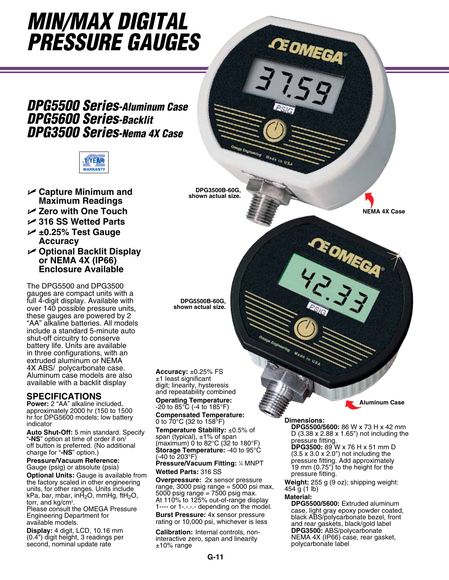# *Min/Max Digital Pressure Gauges*

### *DPG5500 Series-Aluminum Case DPG5600 Series-Backlit DPG3500 Series-Nema 4X Case*



- U **Capture Minimum and Maximum Readings**
- U **Zero with One Touch**
- U **316 SS Wetted Parts**
- U **±0.25% Test Gauge Accuracy**
- U **Optional Backlit Display or NEMA 4X (IP66) Enclosure Available**

The DPG5500 and DPG3500 gauges are compact units with a full 4-digit display. Available with over 140 possible pressure units, these gauges are powered by 2 "AA" alkaline batteries. All models include a standard 5-minute auto shut-off circuitry to conserve battery life. Units are available in three configurations, with an extruded aluminum or NEMA 4X ABS/ polycarbonate case. Aluminum case models are also available with a backlit display

#### **SPECIFICATIONS**

**Power:** 2 "AA" alkaline included, approximately 2000 hr (150 to 1500 hr for DPG5600 models; low battery indicator

**Auto Shut-Off:** 5 min standard. Specify "**-NS**" option at time of order if on/ off button is preferred. (No additional charge for "**-NS**" option.)

#### **Pressure/Vacuum Reference:**

Gauge (psig) or absolute (psia) **Optional Units:** Gauge is available from the factory scaled in other engineering units, for other ranges. Units include kPa, bar, mbar, inH<sub>2</sub>O, mmHg, ftH<sub>2</sub>O, torr, and  $kq/cm<sup>2</sup>$ .

Please consult the OMEGA Pressure Engineering Department for available models.

**Display:** 4 digit, LCD, 10.16 mm (0.4") digit height, 3 readings per second, nominal update rate

**DPG3500B-60G, shown actual size.**

**DPG5500B-60G, shown actual size.**

#### **Accuracy:** ±0.25% FS ±1 least significant digit; linearity, hysteresis and repeatability combined **Operating Temperature:** -20 to 85°C (-4 to 185°F)

**Compensated Temperature:** 0 to 70°C (32 to 158°F)

**Temperature Stability:** ±0.5% of span (typical), ±1% of span (maximum)  $0$  to 82 $^{\circ}$ C (32 to 180 $^{\circ}$ F) **Storage Temperature:** -40 to 95°C (-40 to 203°F)

**Pressure/Vacuum Fitting: 1/4 MNPT Wetted Parts:** 316 SS

**Overpressure:** 2x sensor pressure range, 3000 psig range  $=$  5000 psi max, 5000 psig range = 7500 psig max. At 110% to 125% out-of-range display 1---- or 1-.-.-.- depending on the model.

**Burst Pressure:** 4x sensor pressure rating or 10,000 psi, whichever is less

**Calibration:** Internal controls, noninteractive zero, span and linearity  $±10\%$  range

**Aluminum Case**

**NEMA 4X Case**

#### **Dimensions:**

i,

GEOMEGA

**DPG5500/5600:** 86 W x 73 H x 42 mm D (3.38 x 2.88 x 1.65") not including the pressure fitting.

**DPG3500:** 89 W x 76 H x 51 mm D  $(3.5 \times 3.0 \times 2.0)$  not including the pressure fitting. Add approximately 19 mm (0.75") to the height for the pressure fitting.

**REOMEGA** 

**Weight:** 255 g (9 oz); shipping weight: 454 g (1 lb)

#### **Material:**

**DPG5500/5600:** Extruded aluminum case, light gray epoxy powder coated, black ABS/polycarbonate bezel, front and rear gaskets, black/gold label **DPG3500:** ABS/polycarbonate NEMA 4X (IP66) case, rear gasket, polycarbonate label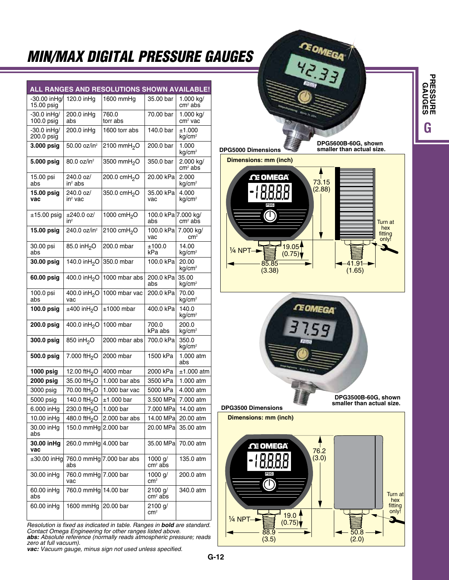## *Min/Max Digital Pressure Gauges*

|                              |                                 | ALL RANGES AND RESOLUTIONS SHOWN AVAILABLE! |                            |                                  |
|------------------------------|---------------------------------|---------------------------------------------|----------------------------|----------------------------------|
| -30.00 inHa/<br>15.00 psig   | 120.0 inHq                      | 1600 mmHg                                   | 35.00 bar                  | 1.000 kg/<br>$cm2$ abs           |
| $-30.0$ in Hg/<br>100.0 psig | 200.0 inHg<br>abs               | 760.0<br>torr abs                           | 70.00 bar                  | 1.000 kg/<br>cm <sup>2</sup> vac |
| -30.0 inHg/<br>200.0 psig    | 200.0 inHg                      | 1600 torr abs                               | 140.0 bar                  | ±1.000<br>kg/cm <sup>2</sup>     |
| 3.000 psig                   | 50.00 oz/in <sup>2</sup>        | 2100 mmH <sub>2</sub> O                     | 200.0 bar                  | 1.000<br>kg/cm <sup>2</sup>      |
| 5.000 psig                   | 80.0 oz/in <sup>2</sup>         | 3500 mmH <sub>2</sub> O                     | 350.0 bar                  | 2.000 kg/<br>$cm2$ abs           |
| 15.00 psi<br>abs             | 240.0 oz/<br>$in^2$ abs         | 200.0 cmH <sub>2</sub> O                    | 20.00 kPa                  | 2.000<br>kg/cm <sup>2</sup>      |
| 15.00 psig<br>vac            | 240.0 oz/<br>$in^2$ vac         | 350.0 cmH <sub>2</sub> O                    | 35.00 kPa<br>vac           | 4.000<br>kg/cm <sup>2</sup>      |
| $±15.00$ psig                | ±240.0 oz/<br>$in^2$            | 1000 cmH <sub>2</sub> O                     | 100.0 kPa 7.000 kg/<br>abs | $cm2$ abs                        |
| 15.00 psig                   | 240.0 oz/in <sup>2</sup>        | 2100 cmH <sub>2</sub> O                     | 100.0 kPa<br>vac           | 7.000 kg/<br>cm <sup>2</sup>     |
| 30.00 psi<br>abs             | 85.0 inH <sub>2</sub> O         | 200.0 mbar                                  | ±100.0<br>kPa              | 14.00<br>kg/cm <sup>2</sup>      |
| 30.00 psig                   | 140.0 inH <sub>2</sub> O        | 350.0 mbar                                  | 100.0 kPa                  | 20.00<br>kg/cm <sup>2</sup>      |
| 60.00 psig                   | 400.0 inH <sub>2</sub> O        | 1000 mbar abs                               | 200.0 kPa<br>abs           | 35.00<br>kg/cm <sup>2</sup>      |
| 100.0 psi<br>abs             | 400.0 inH <sub>2</sub> O<br>vac | 1000 mbar vac                               | 200.0 kPa                  | 70.00<br>kg/cm <sup>2</sup>      |
| 100.0 psig                   | $±400$ inH <sub>2</sub> O       | $±1000$ mbar                                | 400.0 kPa                  | 140.0<br>kg/cm <sup>2</sup>      |
| 200.0 psig                   | 400.0 inH <sub>2</sub> O        | 1000 mbar                                   | 700.0<br>kPa abs           | 200.0<br>kg/cm <sup>2</sup>      |
| 300.0 psig                   | 850 inH <sub>2</sub> O          | 2000 mbar abs                               | 700.0 kPa                  | 350.0<br>kg/cm <sup>2</sup>      |
| 500.0 psig                   | 7.000 ftH <sub>2</sub> O        | 2000 mbar                                   | 1500 kPa                   | 1.000 atm<br>abs                 |
| 1000 psig                    | 12.00 ftH <sub>2</sub> O        | 4000 mbar                                   | 2000 kPa                   | ±1.000 atm                       |
| <b>2000 psig</b>             | 35.00 ftH <sub>2</sub> O        | $1.000$ bar abs                             | 3500 kPa                   | 1.000 atm                        |
| 3000 psig                    | 70.00 ftH <sub>2</sub> O        | 1.000 bar vac                               | 5000 kPa                   | 4.000 atm                        |
| 5000 psig                    | 140.0 ftH <sub>2</sub> O        | ±1.000 bar                                  | 3.500 MPa                  | 7.000 atm                        |
| 6.000 inHg                   | 230.0 ftH <sub>2</sub> O        | 1.000 bar                                   | 7.000 MPa                  | 14.00 atm                        |
| 10.00 inHg                   |                                 | 480.0 ftH <sub>2</sub> O 2.000 bar abs      | 14.00 MPa                  | 20.00 atm                        |
| 30.00 inHg<br>abs            | 150.0 mmHg $ 2.000$ bar         |                                             | 20.00 MPa                  | 35.00 atm                        |
| 30.00 inHg<br>vac            | 260.0 mmHg 4.000 bar            |                                             | 35.00 MPa                  | 70.00 atm                        |
| $\pm 30.00$ in Hg            | abs                             | 760.0 mmHg 7.000 bar abs                    | 1000 g/<br>$cm2$ abs       | 135.0 atm                        |
| 30.00 inHq                   | 760.0 mmHg 7.000 bar<br>vac     |                                             | 1000 $q/$<br>$\rm cm^2$    | 200.0 atm                        |
| 60.00 inHq<br>abs            | 760.0 mmHg 14.00 bar            |                                             | 2100 g/<br>$cm2$ abs       | 340.0 atm                        |
| 60.00 inHg                   | 1600 mmHg                       | 20.00 bar                                   | 2100 g/<br>$\rm cm^2$      |                                  |

*Resolution is fixed as indicated in table. Ranges in bold are standard. Contact Omega Engineering for other ranges listed above. abs: Absolute reference (normally reads atmospheric pressure; reads zero at full vacuum). vac: Vacuum gauge, minus sign not used unless specified.*



**DPG5600B-60G, shown smaller than actual size.**

**Dimensions: mm (inch) DPG5000 Dimensions**





**DPG3500 Dimensions**

**Dimensions: mm (inch)**